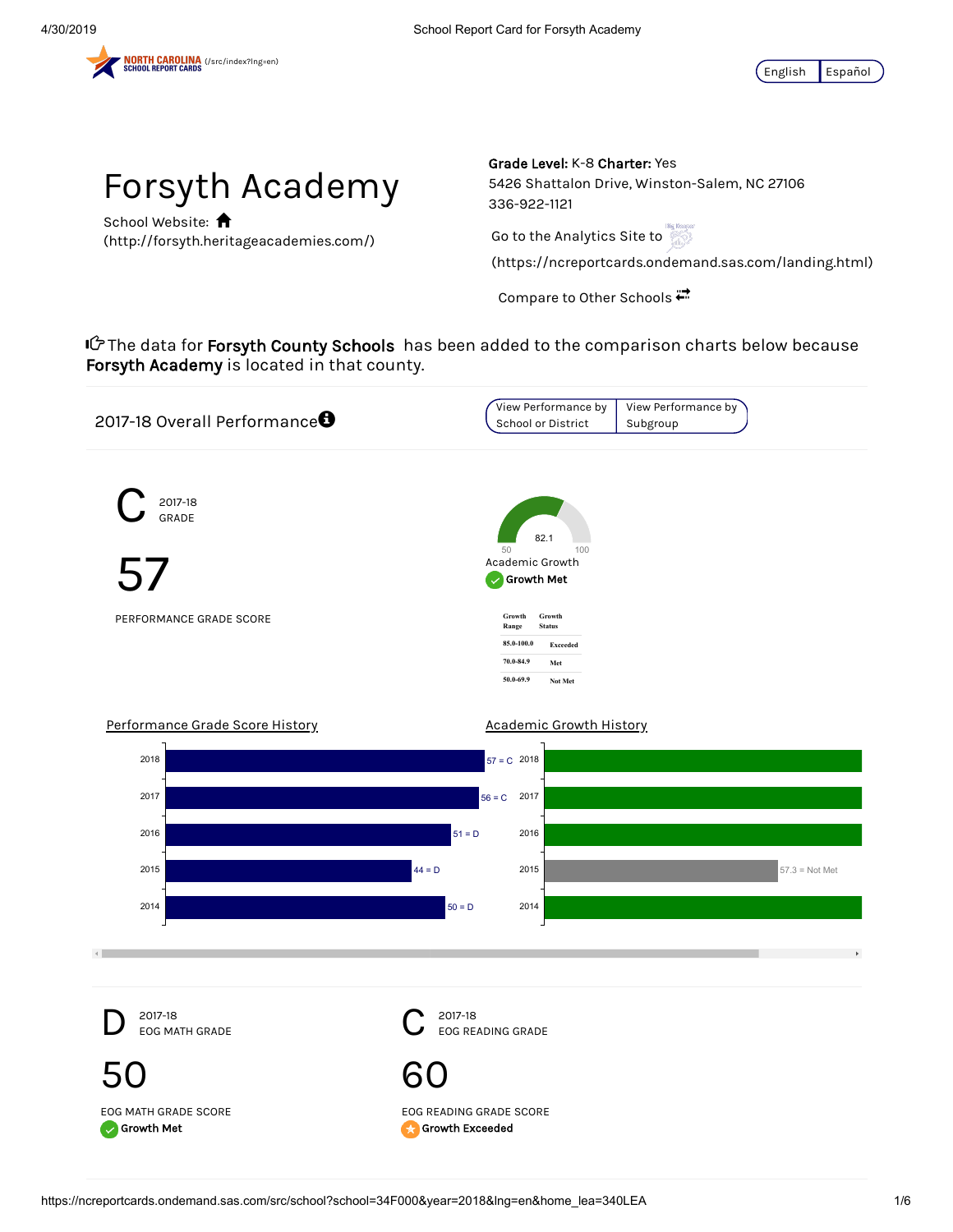



School Website: **A** (http://forsyth.heritageacademies.com/) Grade Level: K-8 Charter: Yes 5426 Shattalon Drive, Winston-Salem, NC 27106 336-922-1121

Go to the Analytics Site to

(https://ncreportcards.ondemand.sas.com/landing.html)

Compare to Other Schools

**I** $\mathcal C$ The data for **Forsyth County Schools** has been added to the comparison charts below because Forsyth Academy is located in that county.



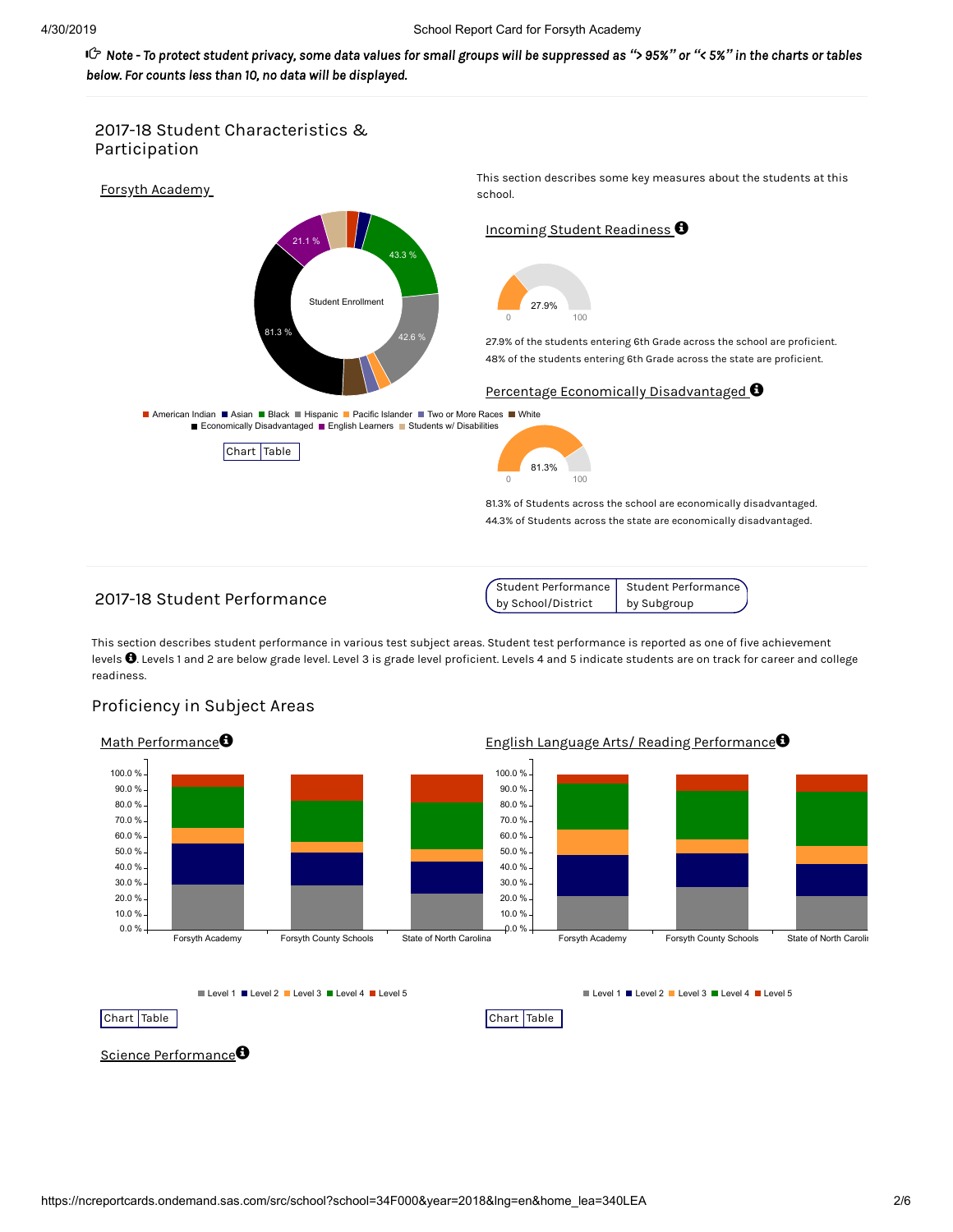of Note - To protect student privacy, some data values for small groups will be suppressed as "> 95%" or "< 5%" in the charts or tables و Cr *below. For counts less than 10, no data will be displayed.*



# 2017-18 Student Performance

Student Performance by School/District Student Performance by Subgroup

This section describes student performance in various test subject areas. Student test performance is reported as one of five achievement levels  $\bullet$  Levels 1 and 2 are below grade level. Level 3 is grade level proficient. Levels 4 and 5 indicate students are on track for career and college readiness.



## Proficiency in Subject Areas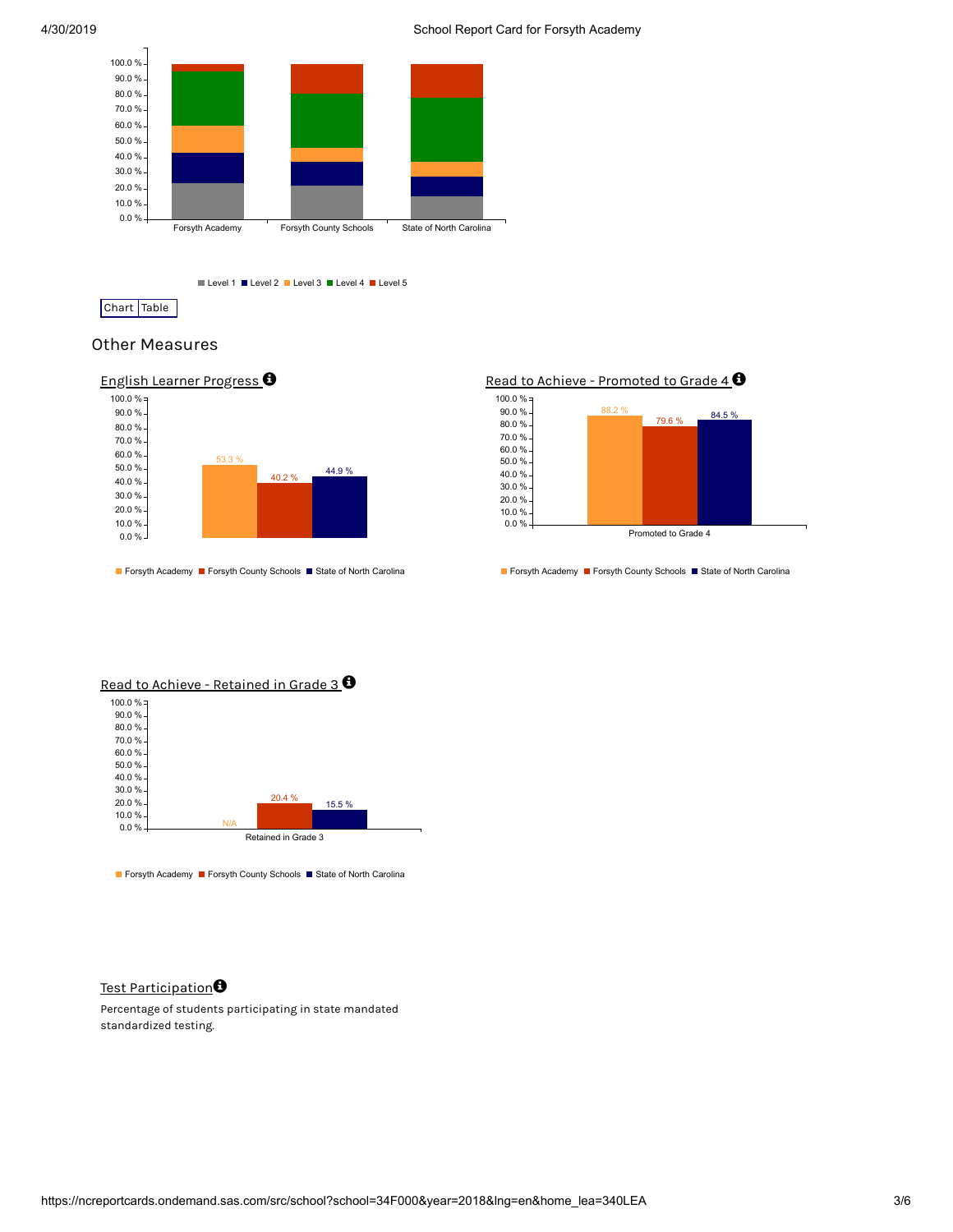

Level 1 Level 2 Level 3 Level 4 Level 5

Chart Table

## Other Measures



Forsyth Academy Forsyth County Schools Fostate of North Carolina

Read to Achieve - Promoted to Grade  $4 \, \textcircled{\!}$ 



■ Forsyth Academy ■ Forsyth County Schools ■ State of North Carolina



Forsyth Academy Forsyth County Schools State of North Carolina

#### Test Participation**O**

Percentage of students participating in state mandated standardized testing.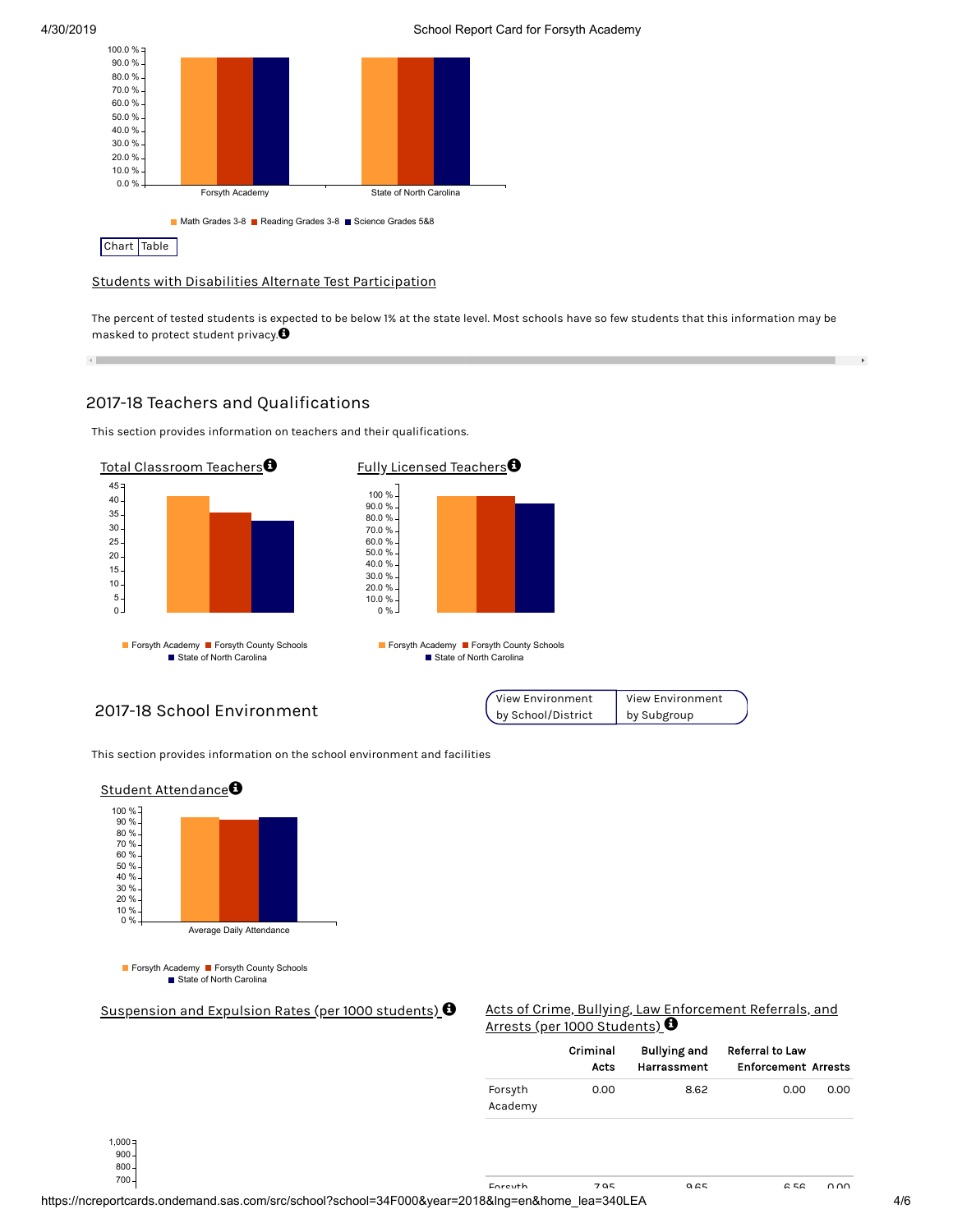$\leftarrow$ 



Students with Disabilities Alternate Test Participation

The percent of tested students is expected to be below 1% at the state level. Most schools have so few students that this information may be masked to protect student privacy. $\bm{\Theta}$ 

# 2017-18 Teachers and Qualifications

This section provides information on teachers and their qualifications.



2017-18 School Environment



This section provides information on the school environment and facilities



Suspension and Expulsion Rates (per 1000 students)  $\Theta$ 

| Acts of Crime, Bullying, Law Enforcement Referrals, and |  |
|---------------------------------------------------------|--|
| Arrests (per 1000 Students) $\bm{\Theta}$               |  |

|                    | Criminal<br>Acts | <b>Bullying and</b><br>Harrassment | <b>Referral to Law</b><br><b>Enforcement Arrests</b> |      |
|--------------------|------------------|------------------------------------|------------------------------------------------------|------|
| Forsyth<br>Academy | 0.00             | 8.62                               | 0.00                                                 | 0.00 |

700 800  $900.$  $1,000 =$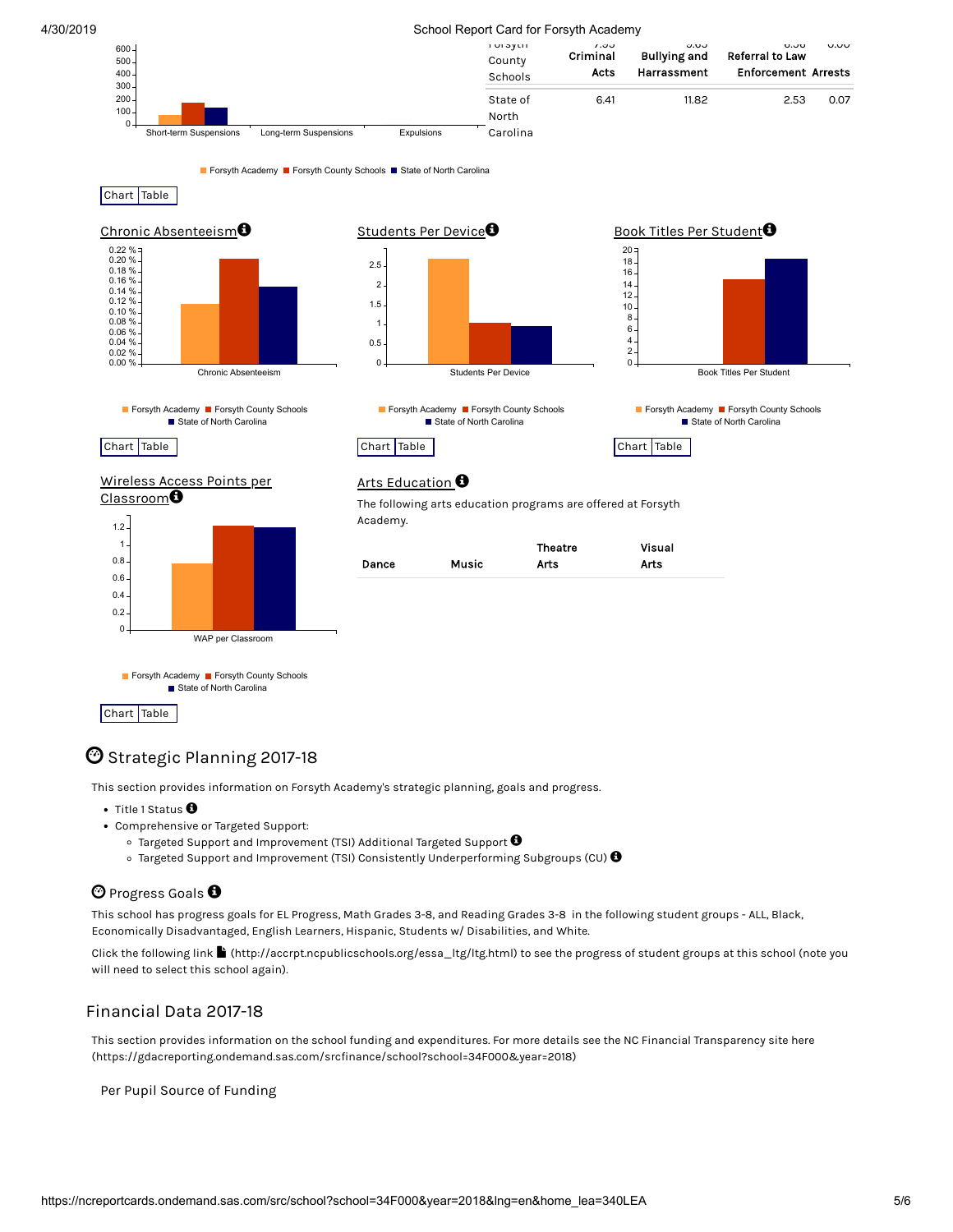#### 4/30/2019 School Report Card for Forsyth Academy

| $600 -$<br>$500 -$<br>$400 -$<br>$300 -$ |                        |                       |            | <b>IUI OYLII</b><br>County<br>Schools | 1.00<br>Criminal<br>Acts | v.vv<br><b>Bullying and</b><br>Harrassment | ט.טע<br>v.vv<br>Referral to Law<br><b>Enforcement Arrests</b> |
|------------------------------------------|------------------------|-----------------------|------------|---------------------------------------|--------------------------|--------------------------------------------|---------------------------------------------------------------|
| $200 -$<br>$100 -$                       |                        |                       |            | State of<br>North                     | 6.41                     | 11.82                                      | 2.53<br>0.07                                                  |
|                                          | Short-term Suspensions | Long-term Suspensions | Expulsions | Carolina                              |                          |                                            |                                                               |

Forsyth Academy Forsyth County Schools Fostate of North Carolina

Chart Table



Chart Table

 $\bm{\mathbb{\Theta}}$  Strategic Planning 2017-18

WAP per Classroom

Forsyth Academy Forsyth County Schools ■ State of North Carolina

This section provides information on Forsyth Academy's strategic planning, goals and progress.

Title 1 Status  $\bm{\Theta}$ 

 $\overline{0}$ 0.2 0.4 0.6

- Comprehensive or Targeted Support:
	- Targeted Support and Improvement (TSI) Additional Targeted Support  $\bm{\Theta}$
	- Targeted Support and Improvement (TSI) Consistently Underperforming Subgroups (CU)  $\pmb{\Theta}$

## $\bm{\Theta}$  Progress Goals  $\bm{\Theta}$

This school has progress goals for EL Progress, Math Grades 3-8, and Reading Grades 3-8 in the following student groups - ALL, Black, Economically Disadvantaged, English Learners, Hispanic, Students w/ Disabilities, and White.

Click the following link (http://accrpt.ncpublicschools.org/essa\_ltg/ltg.html) to see the progress of student groups at this school (note you will need to select this school again).

## Financial Data 2017-18

This section provides information on the school funding and expenditures. For more details see the NC Financial Transparency site here (https://gdacreporting.ondemand.sas.com/srcfinance/school?school=34F000&year=2018)

Per Pupil Source of Funding